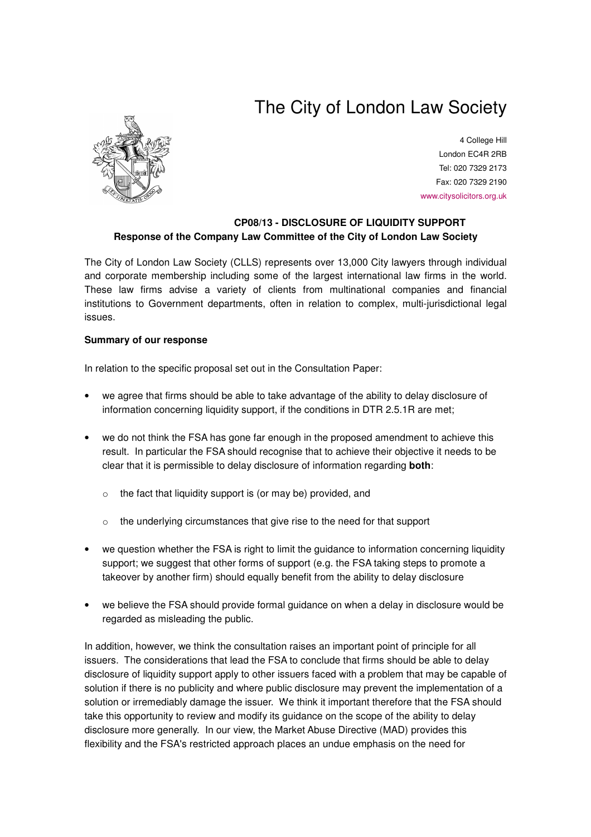# The City of London Law Society



4 College Hill London EC4R 2RB Tel: 020 7329 2173 Fax: 020 7329 2190 www.citysolicitors.org.uk

## **CP08/13 - DISCLOSURE OF LIQUIDITY SUPPORT Response of the Company Law Committee of the City of London Law Society**

The City of London Law Society (CLLS) represents over 13,000 City lawyers through individual and corporate membership including some of the largest international law firms in the world. These law firms advise a variety of clients from multinational companies and financial institutions to Government departments, often in relation to complex, multi-jurisdictional legal issues.

### **Summary of our response**

In relation to the specific proposal set out in the Consultation Paper:

- we agree that firms should be able to take advantage of the ability to delay disclosure of information concerning liquidity support, if the conditions in DTR 2.5.1R are met;
- we do not think the FSA has gone far enough in the proposed amendment to achieve this result. In particular the FSA should recognise that to achieve their objective it needs to be clear that it is permissible to delay disclosure of information regarding **both**:
	- o the fact that liquidity support is (or may be) provided, and
	- o the underlying circumstances that give rise to the need for that support
- we question whether the FSA is right to limit the guidance to information concerning liquidity support; we suggest that other forms of support (e.g. the FSA taking steps to promote a takeover by another firm) should equally benefit from the ability to delay disclosure
- we believe the FSA should provide formal guidance on when a delay in disclosure would be regarded as misleading the public.

In addition, however, we think the consultation raises an important point of principle for all issuers. The considerations that lead the FSA to conclude that firms should be able to delay disclosure of liquidity support apply to other issuers faced with a problem that may be capable of solution if there is no publicity and where public disclosure may prevent the implementation of a solution or irremediably damage the issuer. We think it important therefore that the FSA should take this opportunity to review and modify its guidance on the scope of the ability to delay disclosure more generally. In our view, the Market Abuse Directive (MAD) provides this flexibility and the FSA's restricted approach places an undue emphasis on the need for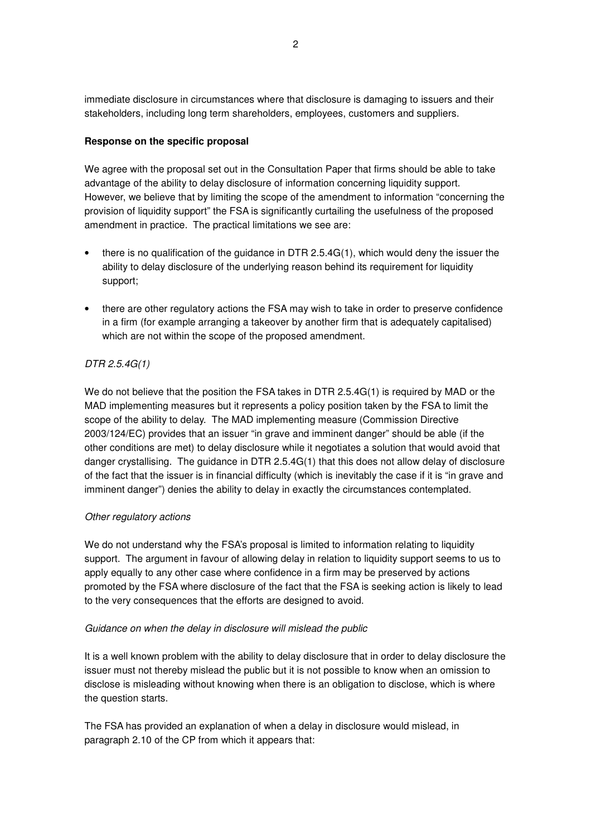immediate disclosure in circumstances where that disclosure is damaging to issuers and their stakeholders, including long term shareholders, employees, customers and suppliers.

## **Response on the specific proposal**

We agree with the proposal set out in the Consultation Paper that firms should be able to take advantage of the ability to delay disclosure of information concerning liquidity support. However, we believe that by limiting the scope of the amendment to information "concerning the provision of liquidity support" the FSA is significantly curtailing the usefulness of the proposed amendment in practice. The practical limitations we see are:

- there is no qualification of the guidance in DTR  $2.5.4G(1)$ , which would deny the issuer the ability to delay disclosure of the underlying reason behind its requirement for liquidity support;
- there are other regulatory actions the FSA may wish to take in order to preserve confidence in a firm (for example arranging a takeover by another firm that is adequately capitalised) which are not within the scope of the proposed amendment.

# *DTR 2.5.4G(1)*

We do not believe that the position the FSA takes in DTR 2.5.4G(1) is required by MAD or the MAD implementing measures but it represents a policy position taken by the FSA to limit the scope of the ability to delay. The MAD implementing measure (Commission Directive 2003/124/EC) provides that an issuer "in grave and imminent danger" should be able (if the other conditions are met) to delay disclosure while it negotiates a solution that would avoid that danger crystallising. The guidance in DTR 2.5.4G(1) that this does not allow delay of disclosure of the fact that the issuer is in financial difficulty (which is inevitably the case if it is "in grave and imminent danger") denies the ability to delay in exactly the circumstances contemplated.

# *Other regulatory actions*

We do not understand why the FSA's proposal is limited to information relating to liquidity support. The argument in favour of allowing delay in relation to liquidity support seems to us to apply equally to any other case where confidence in a firm may be preserved by actions promoted by the FSA where disclosure of the fact that the FSA is seeking action is likely to lead to the very consequences that the efforts are designed to avoid.

### *Guidance on when the delay in disclosure will mislead the public*

It is a well known problem with the ability to delay disclosure that in order to delay disclosure the issuer must not thereby mislead the public but it is not possible to know when an omission to disclose is misleading without knowing when there is an obligation to disclose, which is where the question starts.

The FSA has provided an explanation of when a delay in disclosure would mislead, in paragraph 2.10 of the CP from which it appears that: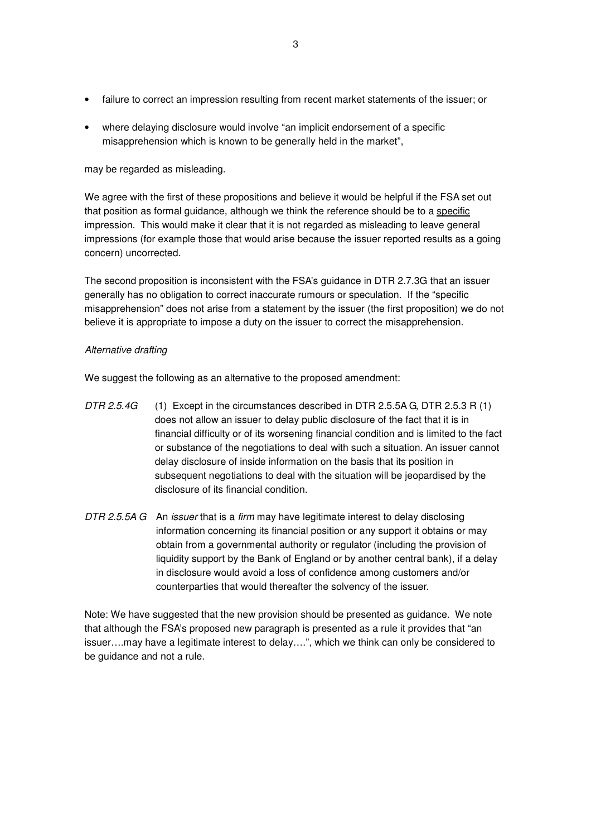- failure to correct an impression resulting from recent market statements of the issuer; or
- where delaying disclosure would involve "an implicit endorsement of a specific misapprehension which is known to be generally held in the market",

may be regarded as misleading.

We agree with the first of these propositions and believe it would be helpful if the FSA set out that position as formal guidance, although we think the reference should be to a specific impression. This would make it clear that it is not regarded as misleading to leave general impressions (for example those that would arise because the issuer reported results as a going concern) uncorrected.

The second proposition is inconsistent with the FSA's guidance in DTR 2.7.3G that an issuer generally has no obligation to correct inaccurate rumours or speculation. If the "specific misapprehension" does not arise from a statement by the issuer (the first proposition) we do not believe it is appropriate to impose a duty on the issuer to correct the misapprehension.

#### *Alternative drafting*

We suggest the following as an alternative to the proposed amendment:

- *DTR 2.5.4G* (1) Except in the circumstances described in DTR 2.5.5A G, DTR 2.5.3 R (1) does not allow an issuer to delay public disclosure of the fact that it is in financial difficulty or of its worsening financial condition and is limited to the fact or substance of the negotiations to deal with such a situation. An issuer cannot delay disclosure of inside information on the basis that its position in subsequent negotiations to deal with the situation will be jeopardised by the disclosure of its financial condition.
- *DTR 2.5.5A G* An *issuer* that is a *firm* may have legitimate interest to delay disclosing information concerning its financial position or any support it obtains or may obtain from a governmental authority or regulator (including the provision of liquidity support by the Bank of England or by another central bank), if a delay in disclosure would avoid a loss of confidence among customers and/or counterparties that would thereafter the solvency of the issuer.

Note: We have suggested that the new provision should be presented as guidance. We note that although the FSA's proposed new paragraph is presented as a rule it provides that "an issuer….may have a legitimate interest to delay….", which we think can only be considered to be guidance and not a rule.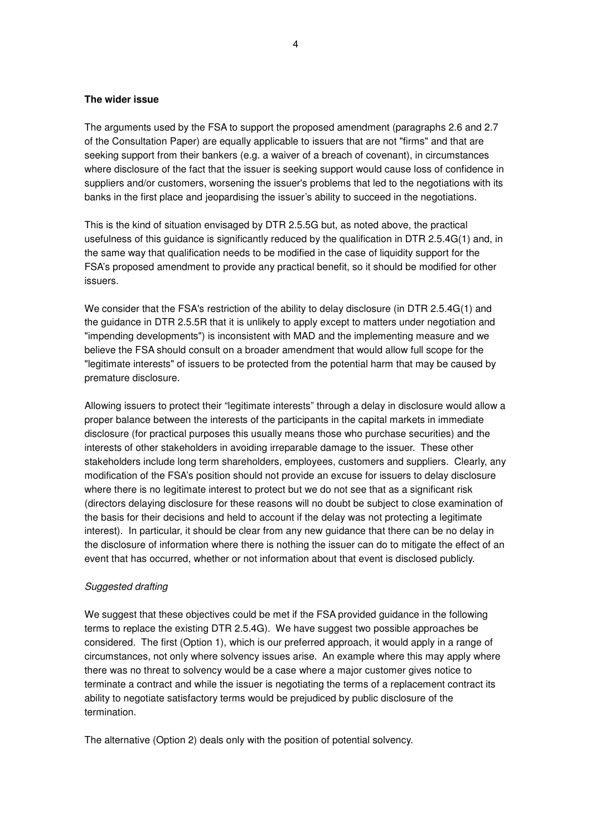#### **The wider issue**

The arguments used by the FSA to support the proposed amendment (paragraphs 2.6 and 2.7 of the Consultation Paper) are equally applicable to issuers that are not "firms" and that are seeking support from their bankers (e.g. a waiver of a breach of covenant), in circumstances where disclosure of the fact that the issuer is seeking support would cause loss of confidence in suppliers and/or customers, worsening the issuer's problems that led to the negotiations with its banks in the first place and jeopardising the issuer's ability to succeed in the negotiations.

This is the kind of situation envisaged by DTR 2.5.5G but, as noted above, the practical usefulness of this guidance is significantly reduced by the qualification in DTR 2.5.4G(1) and, in the same way that qualification needs to be modified in the case of liquidity support for the FSA's proposed amendment to provide any practical benefit, so it should be modified for other issuers.

We consider that the FSA's restriction of the ability to delay disclosure (in DTR 2.5.4G(1) and the guidance in DTR 2.5.5R that it is unlikely to apply except to matters under negotiation and "impending developments") is inconsistent with MAD and the implementing measure and we believe the FSA should consult on a broader amendment that would allow full scope for the "legitimate interests" of issuers to be protected from the potential harm that may be caused by premature disclosure.

Allowing issuers to protect their "legitimate interests" through a delay in disclosure would allow a proper balance between the interests of the participants in the capital markets in immediate disclosure (for practical purposes this usually means those who purchase securities) and the interests of other stakeholders in avoiding irreparable damage to the issuer. These other stakeholders include long term shareholders, employees, customers and suppliers. Clearly, any modification of the FSA's position should not provide an excuse for issuers to delay disclosure where there is no legitimate interest to protect but we do not see that as a significant risk (directors delaying disclosure for these reasons will no doubt be subject to close examination of the basis for their decisions and held to account if the delay was not protecting a legitimate interest). In particular, it should be clear from any new guidance that there can be no delay in the disclosure of information where there is nothing the issuer can do to mitigate the effect of an event that has occurred, whether or not information about that event is disclosed publicly.

#### *Suggested drafting*

We suggest that these objectives could be met if the FSA provided guidance in the following terms to replace the existing DTR 2.5.4G). We have suggest two possible approaches be considered. The first (Option 1), which is our preferred approach, it would apply in a range of circumstances, not only where solvency issues arise. An example where this may apply where there was no threat to solvency would be a case where a major customer gives notice to terminate a contract and while the issuer is negotiating the terms of a replacement contract its ability to negotiate satisfactory terms would be prejudiced by public disclosure of the termination.

The alternative (Option 2) deals only with the position of potential solvency.